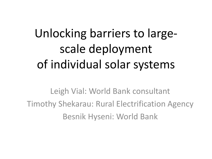## Unlocking barriers to largescale deployment of individual solar systems

Leigh Vial: World Bank consultant Timothy Shekarau: Rural Electrification Agency Besnik Hyseni: World Bank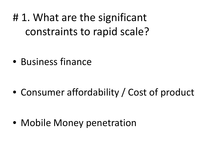# 1. What are the significant constraints to rapid scale?

• Business finance

• Consumer affordability / Cost of product

• Mobile Money penetration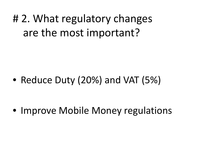## # 2. What regulatory changes are the most important?

• Reduce Duty (20%) and VAT (5%)

• Improve Mobile Money regulations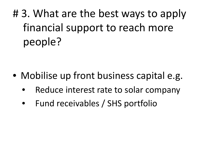# 3. What are the best ways to apply financial support to reach more people?

- Mobilise up front business capital e.g.
	- Reduce interest rate to solar company
	- Fund receivables / SHS portfolio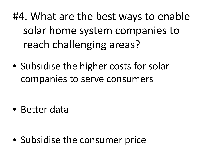- #4. What are the best ways to enable solar home system companies to reach challenging areas?
- Subsidise the higher costs for solar companies to serve consumers

• Better data

• Subsidise the consumer price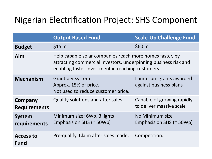## Nigerian Electrification Project: SHS Component

|                                 | <b>Output Based Fund</b>                                                                                                                                                        | <b>Scale-Up Challenge Fund</b>                         |
|---------------------------------|---------------------------------------------------------------------------------------------------------------------------------------------------------------------------------|--------------------------------------------------------|
| <b>Budget</b>                   | \$15 m                                                                                                                                                                          | \$60 <sub>m</sub>                                      |
| Aim                             | Help capable solar companies reach more homes faster, by<br>attracting commercial investors, underpinning business risk and<br>enabling faster investment in reaching customers |                                                        |
| <b>Mechanism</b>                | Grant per system.<br>Approx. 15% of price.<br>Not used to reduce customer price.                                                                                                | Lump sum grants awarded<br>against business plans      |
| Company<br><b>Requirements</b>  | Quality solutions and after sales                                                                                                                                               | Capable of growing rapidly<br>to deliver massive scale |
| <b>System</b><br>requirements   | Minimum size: 6Wp, 3 lights<br>Emphasis on SHS (~ 50Wp)                                                                                                                         | No Minimum size<br>Emphasis on SHS ( $\approx$ 50Wp)   |
| <b>Access to</b><br><b>Fund</b> | Pre-qualify. Claim after sales made.                                                                                                                                            | Competition.                                           |